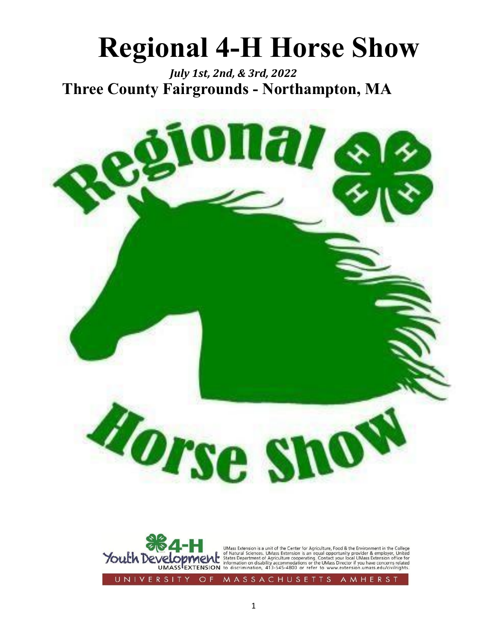# **Regional 4-H Horse Show**

*July 1st, 2nd, & 3rd, 2022* **Three County Fairgrounds - Northampton, MA**



UNIVERSI  $O$  F MASSACHUSETTS AMHER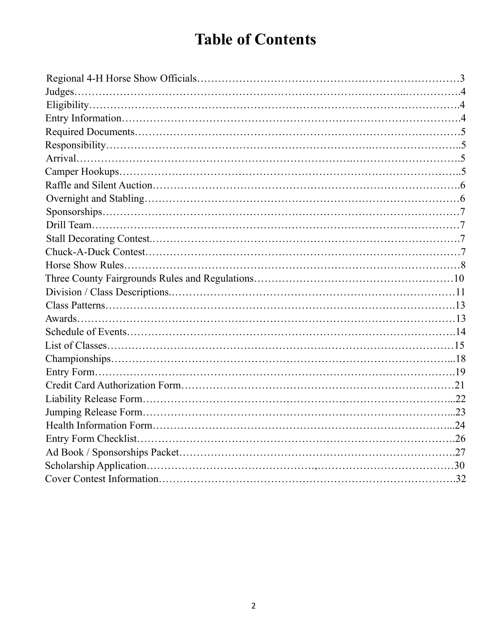### **Table of Contents**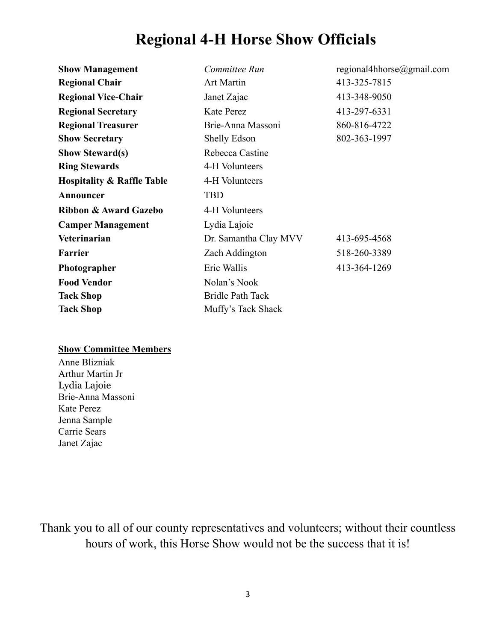### **Regional 4-H Horse Show Officials**

| <b>Show Management</b>                | regional4hhorse@gmail.com<br>Committee Run |              |  |
|---------------------------------------|--------------------------------------------|--------------|--|
| <b>Regional Chair</b>                 | <b>Art Martin</b>                          | 413-325-7815 |  |
| <b>Regional Vice-Chair</b>            | Janet Zajac                                | 413-348-9050 |  |
| <b>Regional Secretary</b>             | <b>Kate Perez</b>                          | 413-297-6331 |  |
| <b>Regional Treasurer</b>             | Brie-Anna Massoni                          | 860-816-4722 |  |
| <b>Show Secretary</b>                 | Shelly Edson                               | 802-363-1997 |  |
| <b>Show Steward(s)</b>                | Rebecca Castine                            |              |  |
| <b>Ring Stewards</b>                  | 4-H Volunteers                             |              |  |
| <b>Hospitality &amp; Raffle Table</b> | 4-H Volunteers                             |              |  |
| Announcer                             | <b>TBD</b>                                 |              |  |
| Ribbon & Award Gazebo                 | 4-H Volunteers                             |              |  |
| <b>Camper Management</b>              | Lydia Lajoie                               |              |  |
| Veterinarian                          | Dr. Samantha Clay MVV                      | 413-695-4568 |  |
| <b>Farrier</b>                        | Zach Addington<br>518-260-3389             |              |  |
| Photographer                          | Eric Wallis<br>413-364-1269                |              |  |
| <b>Food Vendor</b>                    | Nolan's Nook                               |              |  |
| <b>Tack Shop</b>                      | <b>Bridle Path Tack</b>                    |              |  |
| <b>Tack Shop</b>                      | Muffy's Tack Shack                         |              |  |

#### **Show Committee Members**

Anne Blizniak Arthur Martin Jr Lydia Lajoie Brie-Anna Massoni Kate Perez Jenna Sample Carrie Sears Janet Zajac

Thank you to all of our county representatives and volunteers; without their countless hours of work, this Horse Show would not be the success that it is!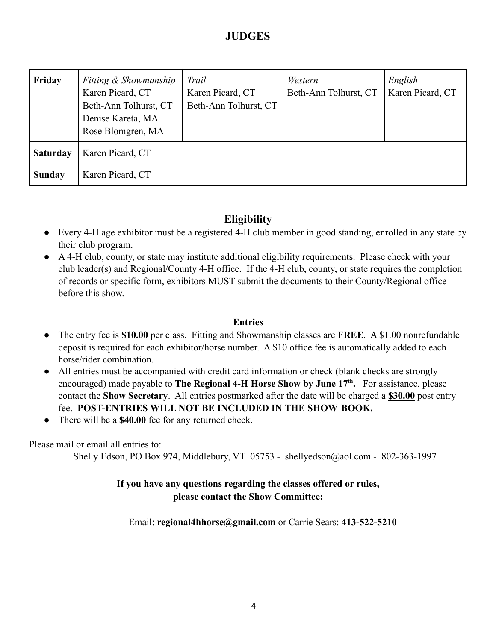#### **JUDGES**

| Friday          | Fitting & Showmanship<br>Karen Picard, CT<br>Beth-Ann Tolhurst, CT<br>Denise Kareta, MA<br>Rose Blomgren, MA | Trail<br>Karen Picard, CT<br>Beth-Ann Tolhurst, CT | Western<br>Beth-Ann Tolhurst, CT | English<br>Karen Picard, CT |
|-----------------|--------------------------------------------------------------------------------------------------------------|----------------------------------------------------|----------------------------------|-----------------------------|
| <b>Saturday</b> | Karen Picard, CT                                                                                             |                                                    |                                  |                             |
| <b>Sunday</b>   | Karen Picard, CT                                                                                             |                                                    |                                  |                             |

#### **Eligibility**

- Every 4-H age exhibitor must be a registered 4-H club member in good standing, enrolled in any state by their club program.
- A 4-H club, county, or state may institute additional eligibility requirements. Please check with your club leader(s) and Regional/County 4-H office. If the 4-H club, county, or state requires the completion of records or specific form, exhibitors MUST submit the documents to their County/Regional office before this show.

#### **Entries**

- The entry fee is **\$10.00** per class. Fitting and Showmanship classes are **FREE**. A \$1.00 nonrefundable deposit is required for each exhibitor/horse number. A \$10 office fee is automatically added to each horse/rider combination.
- All entries must be accompanied with credit card information or check (blank checks are strongly encouraged) made payable to **The Regional 4-H Horse Show by June 17th .** For assistance, please contact the **Show Secretary**. All entries postmarked after the date will be charged a **\$30.00** post entry fee. **POST-ENTRIES WILL NOT BE INCLUDED IN THE SHOW BOOK.**
- There will be a **\$40.00** fee for any returned check.

Please mail or email all entries to:

Shelly Edson, PO Box 974, Middlebury, VT 05753 - shellyedson@aol.com - 802-363-1997

#### **If you have any questions regarding the classes offered or rules, please contact the Show Committee:**

Email: **regional4hhorse@gmail.com** or Carrie Sears: **413-522-5210**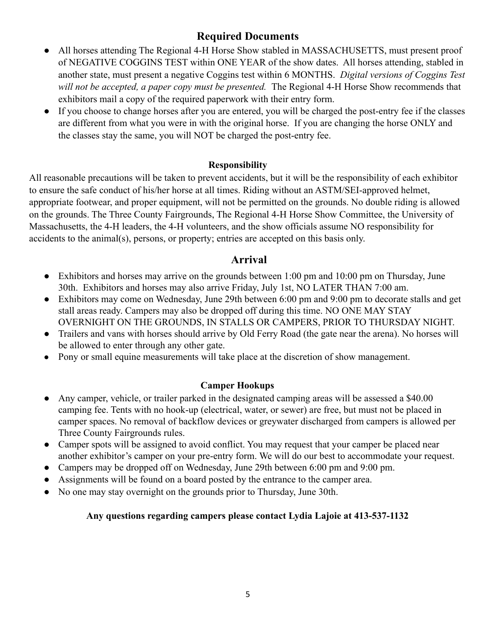#### **Required Documents**

- All horses attending The Regional 4-H Horse Show stabled in MASSACHUSETTS, must present proof of NEGATIVE COGGINS TEST within ONE YEAR of the show dates. All horses attending, stabled in another state, must present a negative Coggins test within 6 MONTHS. *Digital versions of Coggins Test will not be accepted, a paper copy must be presented.* The Regional 4-H Horse Show recommends that exhibitors mail a copy of the required paperwork with their entry form.
- If you choose to change horses after you are entered, you will be charged the post-entry fee if the classes are different from what you were in with the original horse. If you are changing the horse ONLY and the classes stay the same, you will NOT be charged the post-entry fee.

#### **Responsibility**

All reasonable precautions will be taken to prevent accidents, but it will be the responsibility of each exhibitor to ensure the safe conduct of his/her horse at all times. Riding without an ASTM/SEI-approved helmet, appropriate footwear, and proper equipment, will not be permitted on the grounds. No double riding is allowed on the grounds. The Three County Fairgrounds, The Regional 4-H Horse Show Committee, the University of Massachusetts, the 4-H leaders, the 4-H volunteers, and the show officials assume NO responsibility for accidents to the animal(s), persons, or property; entries are accepted on this basis only.

#### **Arrival**

- Exhibitors and horses may arrive on the grounds between 1:00 pm and 10:00 pm on Thursday, June 30th. Exhibitors and horses may also arrive Friday, July 1st, NO LATER THAN 7:00 am.
- Exhibitors may come on Wednesday, June 29th between 6:00 pm and 9:00 pm to decorate stalls and get stall areas ready. Campers may also be dropped off during this time. NO ONE MAY STAY OVERNIGHT ON THE GROUNDS, IN STALLS OR CAMPERS, PRIOR TO THURSDAY NIGHT.
- Trailers and vans with horses should arrive by Old Ferry Road (the gate near the arena). No horses will be allowed to enter through any other gate.
- Pony or small equine measurements will take place at the discretion of show management.

#### **Camper Hookups**

- Any camper, vehicle, or trailer parked in the designated camping areas will be assessed a \$40.00 camping fee. Tents with no hook-up (electrical, water, or sewer) are free, but must not be placed in camper spaces. No removal of backflow devices or greywater discharged from campers is allowed per Three County Fairgrounds rules.
- Camper spots will be assigned to avoid conflict. You may request that your camper be placed near another exhibitor's camper on your pre-entry form. We will do our best to accommodate your request.
- Campers may be dropped off on Wednesday, June 29th between 6:00 pm and 9:00 pm.
- Assignments will be found on a board posted by the entrance to the camper area.
- No one may stay overnight on the grounds prior to Thursday, June 30th.

#### **Any questions regarding campers please contact Lydia Lajoie at 413-537-1132**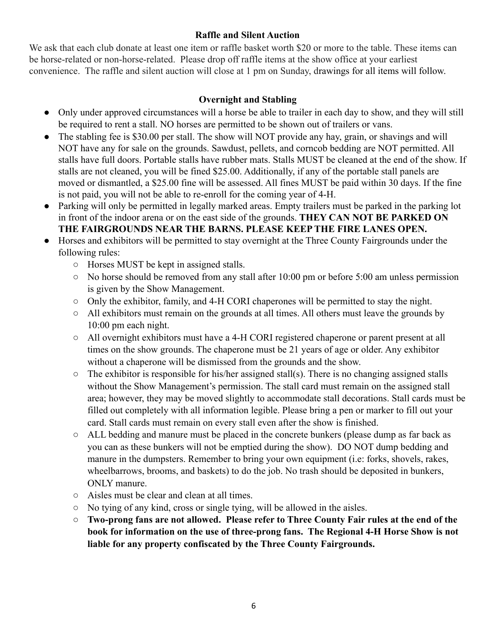#### **Raffle and Silent Auction**

We ask that each club donate at least one item or raffle basket worth \$20 or more to the table. These items can be horse-related or non-horse-related. Please drop off raffle items at the show office at your earliest convenience. The raffle and silent auction will close at 1 pm on Sunday, drawings for all items will follow.

#### **Overnight and Stabling**

- Only under approved circumstances will a horse be able to trailer in each day to show, and they will still be required to rent a stall. NO horses are permitted to be shown out of trailers or vans.
- The stabling fee is \$30.00 per stall. The show will NOT provide any hay, grain, or shavings and will NOT have any for sale on the grounds. Sawdust, pellets, and corncob bedding are NOT permitted. All stalls have full doors. Portable stalls have rubber mats. Stalls MUST be cleaned at the end of the show. If stalls are not cleaned, you will be fined \$25.00. Additionally, if any of the portable stall panels are moved or dismantled, a \$25.00 fine will be assessed. All fines MUST be paid within 30 days. If the fine is not paid, you will not be able to re-enroll for the coming year of 4-H.
- Parking will only be permitted in legally marked areas. Empty trailers must be parked in the parking lot in front of the indoor arena or on the east side of the grounds. **THEY CAN NOT BE PARKED ON THE FAIRGROUNDS NEAR THE BARNS. PLEASE KEEP THE FIRE LANES OPEN.**
- Horses and exhibitors will be permitted to stay overnight at the Three County Fairgrounds under the following rules:
	- Horses MUST be kept in assigned stalls.
	- No horse should be removed from any stall after 10:00 pm or before 5:00 am unless permission is given by the Show Management.
	- Only the exhibitor, family, and 4-H CORI chaperones will be permitted to stay the night.
	- All exhibitors must remain on the grounds at all times. All others must leave the grounds by 10:00 pm each night.
	- All overnight exhibitors must have a 4-H CORI registered chaperone or parent present at all times on the show grounds. The chaperone must be 21 years of age or older. Any exhibitor without a chaperone will be dismissed from the grounds and the show.
	- $\circ$  The exhibitor is responsible for his/her assigned stall(s). There is no changing assigned stalls without the Show Management's permission. The stall card must remain on the assigned stall area; however, they may be moved slightly to accommodate stall decorations. Stall cards must be filled out completely with all information legible. Please bring a pen or marker to fill out your card. Stall cards must remain on every stall even after the show is finished.
	- ALL bedding and manure must be placed in the concrete bunkers (please dump as far back as you can as these bunkers will not be emptied during the show). DO NOT dump bedding and manure in the dumpsters. Remember to bring your own equipment (i.e: forks, shovels, rakes, wheelbarrows, brooms, and baskets) to do the job. No trash should be deposited in bunkers, ONLY manure.
	- Aisles must be clear and clean at all times.
	- No tying of any kind, cross or single tying, will be allowed in the aisles.
	- **Two-prong fans are not allowed. Please refer to Three County Fair rules at the end of the book for information on the use of three-prong fans. The Regional 4-H Horse Show is not liable for any property confiscated by the Three County Fairgrounds.**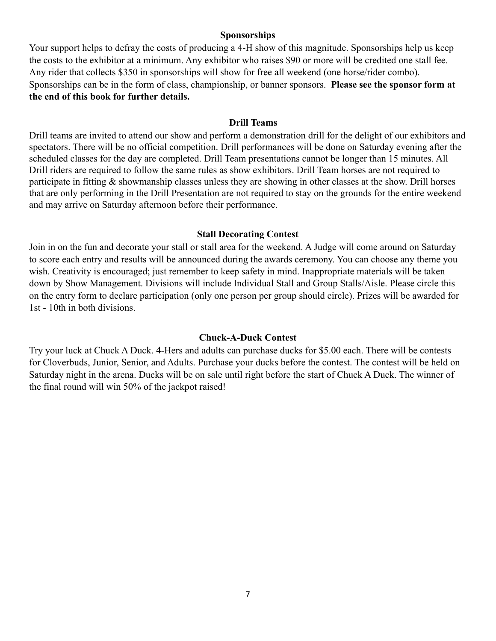#### **Sponsorships**

Your support helps to defray the costs of producing a 4-H show of this magnitude. Sponsorships help us keep the costs to the exhibitor at a minimum. Any exhibitor who raises \$90 or more will be credited one stall fee. Any rider that collects \$350 in sponsorships will show for free all weekend (one horse/rider combo). Sponsorships can be in the form of class, championship, or banner sponsors. **Please see the sponsor form at the end of this book for further details.**

#### **Drill Teams**

Drill teams are invited to attend our show and perform a demonstration drill for the delight of our exhibitors and spectators. There will be no official competition. Drill performances will be done on Saturday evening after the scheduled classes for the day are completed. Drill Team presentations cannot be longer than 15 minutes. All Drill riders are required to follow the same rules as show exhibitors. Drill Team horses are not required to participate in fitting & showmanship classes unless they are showing in other classes at the show. Drill horses that are only performing in the Drill Presentation are not required to stay on the grounds for the entire weekend and may arrive on Saturday afternoon before their performance.

#### **Stall Decorating Contest**

Join in on the fun and decorate your stall or stall area for the weekend. A Judge will come around on Saturday to score each entry and results will be announced during the awards ceremony. You can choose any theme you wish. Creativity is encouraged; just remember to keep safety in mind. Inappropriate materials will be taken down by Show Management. Divisions will include Individual Stall and Group Stalls/Aisle. Please circle this on the entry form to declare participation (only one person per group should circle). Prizes will be awarded for 1st - 10th in both divisions.

#### **Chuck-A-Duck Contest**

Try your luck at Chuck A Duck. 4-Hers and adults can purchase ducks for \$5.00 each. There will be contests for Cloverbuds, Junior, Senior, and Adults. Purchase your ducks before the contest. The contest will be held on Saturday night in the arena. Ducks will be on sale until right before the start of Chuck A Duck. The winner of the final round will win 50% of the jackpot raised!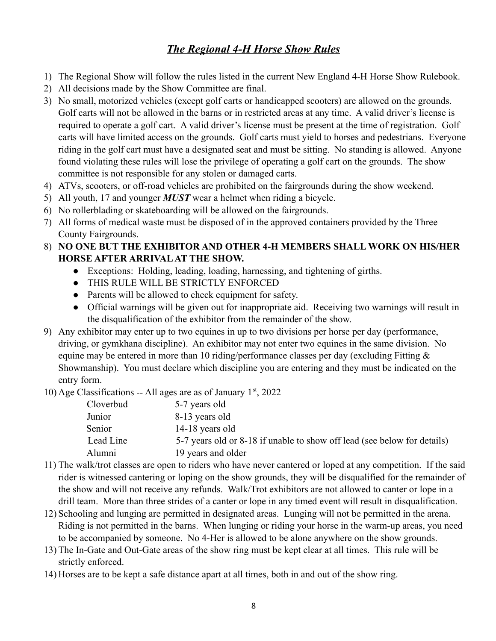#### *The Regional 4-H Horse Show Rules*

- 1) The Regional Show will follow the rules listed in the current New England 4-H Horse Show Rulebook.
- 2) All decisions made by the Show Committee are final.
- 3) No small, motorized vehicles (except golf carts or handicapped scooters) are allowed on the grounds. Golf carts will not be allowed in the barns or in restricted areas at any time. A valid driver's license is required to operate a golf cart. A valid driver's license must be present at the time of registration. Golf carts will have limited access on the grounds. Golf carts must yield to horses and pedestrians. Everyone riding in the golf cart must have a designated seat and must be sitting. No standing is allowed. Anyone found violating these rules will lose the privilege of operating a golf cart on the grounds. The show committee is not responsible for any stolen or damaged carts.
- 4) ATVs, scooters, or off-road vehicles are prohibited on the fairgrounds during the show weekend.
- 5) All youth, 17 and younger *MUST* wear a helmet when riding a bicycle.
- 6) No rollerblading or skateboarding will be allowed on the fairgrounds.
- 7) All forms of medical waste must be disposed of in the approved containers provided by the Three County Fairgrounds.
- 8) **NO ONE BUT THE EXHIBITOR AND OTHER 4-H MEMBERS SHALL WORK ON HIS/HER HORSE AFTER ARRIVALAT THE SHOW.**
	- Exceptions: Holding, leading, loading, harnessing, and tightening of girths.
	- THIS RULE WILL BE STRICTLY ENFORCED
	- Parents will be allowed to check equipment for safety.
	- Official warnings will be given out for inappropriate aid. Receiving two warnings will result in the disqualification of the exhibitor from the remainder of the show.
- 9) Any exhibitor may enter up to two equines in up to two divisions per horse per day (performance, driving, or gymkhana discipline). An exhibitor may not enter two equines in the same division. No equine may be entered in more than 10 riding/performance classes per day (excluding Fitting & Showmanship). You must declare which discipline you are entering and they must be indicated on the entry form.

10) Age Classifications -- All ages are as of January  $1<sup>st</sup>$ , 2022

| woonnouuun | $\frac{1}{2}$ and $\frac{1}{2}$ and $\frac{1}{2}$ and $\frac{1}{2}$ and $\frac{1}{2}$ and $\frac{1}{2}$ and $\frac{1}{2}$ and $\frac{1}{2}$ and $\frac{1}{2}$ and $\frac{1}{2}$ and $\frac{1}{2}$ and $\frac{1}{2}$ and $\frac{1}{2}$ and $\frac{1}{2}$ and $\frac{1}{2}$ and $\frac{1}{2}$ a |
|------------|-----------------------------------------------------------------------------------------------------------------------------------------------------------------------------------------------------------------------------------------------------------------------------------------------|
| Cloverbud  | 5-7 years old                                                                                                                                                                                                                                                                                 |
| Junior     | 8-13 years old                                                                                                                                                                                                                                                                                |
| Senior     | 14-18 years old                                                                                                                                                                                                                                                                               |
| Lead Line  | 5-7 years old or 8-18 if unable to show off lead (see below for details)                                                                                                                                                                                                                      |
| Alumni     | 19 years and older                                                                                                                                                                                                                                                                            |
|            |                                                                                                                                                                                                                                                                                               |

- 11) The walk/trot classes are open to riders who have never cantered or loped at any competition. If the said rider is witnessed cantering or loping on the show grounds, they will be disqualified for the remainder of the show and will not receive any refunds. Walk/Trot exhibitors are not allowed to canter or lope in a drill team. More than three strides of a canter or lope in any timed event will result in disqualification.
- 12) Schooling and lunging are permitted in designated areas. Lunging will not be permitted in the arena. Riding is not permitted in the barns. When lunging or riding your horse in the warm-up areas, you need to be accompanied by someone. No 4-Her is allowed to be alone anywhere on the show grounds.
- 13) The In-Gate and Out-Gate areas of the show ring must be kept clear at all times. This rule will be strictly enforced.
- 14) Horses are to be kept a safe distance apart at all times, both in and out of the show ring.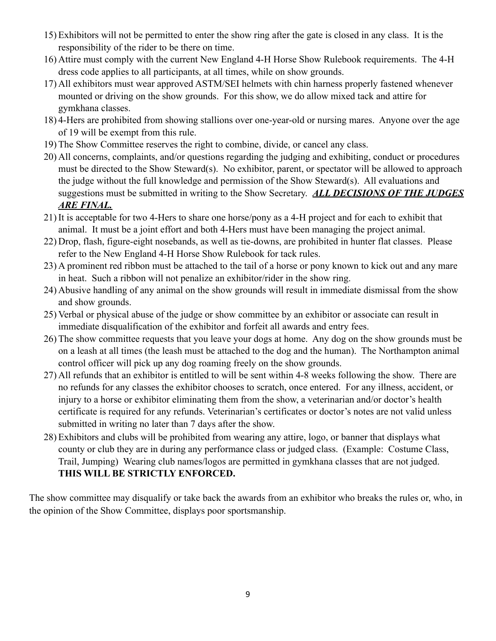- 15) Exhibitors will not be permitted to enter the show ring after the gate is closed in any class. It is the responsibility of the rider to be there on time.
- 16) Attire must comply with the current New England 4-H Horse Show Rulebook requirements. The 4-H dress code applies to all participants, at all times, while on show grounds.
- 17) All exhibitors must wear approved ASTM/SEI helmets with chin harness properly fastened whenever mounted or driving on the show grounds. For this show, we do allow mixed tack and attire for gymkhana classes.
- 18) 4-Hers are prohibited from showing stallions over one-year-old or nursing mares. Anyone over the age of 19 will be exempt from this rule.
- 19) The Show Committee reserves the right to combine, divide, or cancel any class.
- 20) All concerns, complaints, and/or questions regarding the judging and exhibiting, conduct or procedures must be directed to the Show Steward(s). No exhibitor, parent, or spectator will be allowed to approach the judge without the full knowledge and permission of the Show Steward(s). All evaluations and suggestions must be submitted in writing to the Show Secretary. *ALL DECISIONS OF THE JUDGES ARE FINAL.*
- 21) It is acceptable for two 4-Hers to share one horse/pony as a 4-H project and for each to exhibit that animal. It must be a joint effort and both 4-Hers must have been managing the project animal.
- 22) Drop, flash, figure-eight nosebands, as well as tie-downs, are prohibited in hunter flat classes. Please refer to the New England 4-H Horse Show Rulebook for tack rules.
- 23) A prominent red ribbon must be attached to the tail of a horse or pony known to kick out and any mare in heat. Such a ribbon will not penalize an exhibitor/rider in the show ring.
- 24) Abusive handling of any animal on the show grounds will result in immediate dismissal from the show and show grounds.
- 25) Verbal or physical abuse of the judge or show committee by an exhibitor or associate can result in immediate disqualification of the exhibitor and forfeit all awards and entry fees.
- 26) The show committee requests that you leave your dogs at home. Any dog on the show grounds must be on a leash at all times (the leash must be attached to the dog and the human). The Northampton animal control officer will pick up any dog roaming freely on the show grounds.
- 27) All refunds that an exhibitor is entitled to will be sent within 4-8 weeks following the show. There are no refunds for any classes the exhibitor chooses to scratch, once entered. For any illness, accident, or injury to a horse or exhibitor eliminating them from the show, a veterinarian and/or doctor's health certificate is required for any refunds. Veterinarian's certificates or doctor's notes are not valid unless submitted in writing no later than 7 days after the show.
- 28) Exhibitors and clubs will be prohibited from wearing any attire, logo, or banner that displays what county or club they are in during any performance class or judged class. (Example: Costume Class, Trail, Jumping) Wearing club names/logos are permitted in gymkhana classes that are not judged. **THIS WILL BE STRICTLY ENFORCED.**

The show committee may disqualify or take back the awards from an exhibitor who breaks the rules or, who, in the opinion of the Show Committee, displays poor sportsmanship.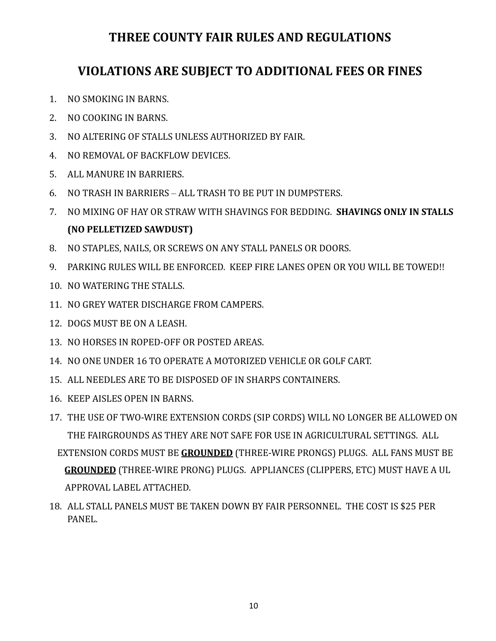### **THREE COUNTY FAIR RULES AND REGULATIONS**

#### **VIOLATIONS ARE SUBJECT TO ADDITIONAL FEES OR FINES**

- 1. NO SMOKING IN BARNS.
- 2. NO COOKING IN BARNS.
- 3. NO ALTERING OF STALLS UNLESS AUTHORIZED BY FAIR.
- 4. NO REMOVAL OF BACKFLOW DEVICES.
- 5. ALL MANURE IN BARRIERS.
- 6. NO TRASH IN BARRIERS ALL TRASH TO BE PUT IN DUMPSTERS.
- 7. NO MIXING OF HAY OR STRAW WITH SHAVINGS FOR BEDDING. **SHAVINGS ONLY IN STALLS (NO PELLETIZED SAWDUST)**
- 8. NO STAPLES, NAILS, OR SCREWS ON ANY STALL PANELS OR DOORS.
- 9. PARKING RULES WILL BE ENFORCED. KEEP FIRE LANES OPEN OR YOU WILL BE TOWED!!
- 10. NO WATERING THE STALLS.
- 11. NO GREY WATER DISCHARGE FROM CAMPERS.
- 12. DOGS MUST BE ON A LEASH.
- 13. NO HORSES IN ROPED-OFF OR POSTED AREAS.
- 14. NO ONE UNDER 16 TO OPERATE A MOTORIZED VEHICLE OR GOLF CART.
- 15. ALL NEEDLES ARE TO BE DISPOSED OF IN SHARPS CONTAINERS.
- 16. KEEP AISLES OPEN IN BARNS.
- 17. THE USE OF TWO-WIRE EXTENSION CORDS (SIP CORDS) WILL NO LONGER BE ALLOWED ON THE FAIRGROUNDS AS THEY ARE NOT SAFE FOR USE IN AGRICULTURAL SETTINGS. ALL EXTENSION CORDS MUST BE **GROUNDED** (THREE-WIRE PRONGS) PLUGS. ALL FANS MUST BE **GROUNDED** (THREE-WIRE PRONG) PLUGS. APPLIANCES (CLIPPERS, ETC) MUST HAVE A UL APPROVAL LABEL ATTACHED.
- 18. ALL STALL PANELS MUST BE TAKEN DOWN BY FAIR PERSONNEL. THE COST IS \$25 PER PANEL.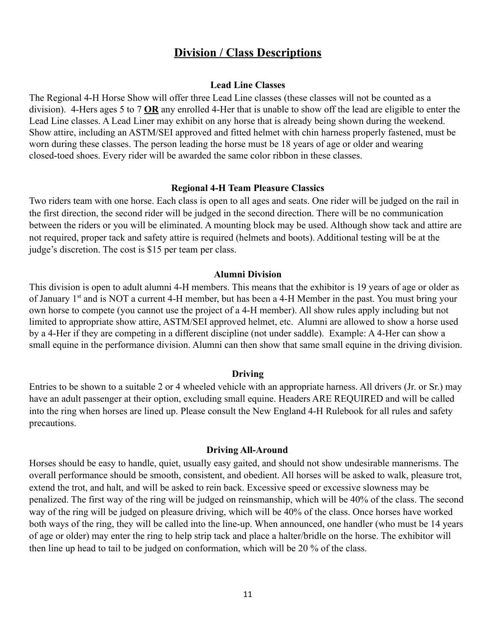#### **Division / Class Descriptions**

#### **Lead Line Classes**

The Regional 4-H Horse Show will offer three Lead Line classes (these classes will not be counted as a division). 4-Hers ages 5 to 7 **OR** any enrolled 4-Her that is unable to show off the lead are eligible to enter the Lead Line classes. A Lead Liner may exhibit on any horse that is already being shown during the weekend. Show attire, including an ASTM/SEI approved and fitted helmet with chin harness properly fastened, must be worn during these classes. The person leading the horse must be 18 years of age or older and wearing closed-toed shoes. Every rider will be awarded the same color ribbon in these classes.

#### **Regional 4-H Team Pleasure Classics**

Two riders team with one horse. Each class is open to all ages and seats. One rider will be judged on the rail in the first direction, the second rider will be judged in the second direction. There will be no communication between the riders or you will be eliminated. A mounting block may be used. Although show tack and attire are not required, proper tack and safety attire is required (helmets and boots). Additional testing will be at the judge's discretion. The cost is \$15 per team per class.

#### **Alumni Division**

This division is open to adult alumni 4-H members. This means that the exhibitor is 19 years of age or older as of January 1<sup>st</sup> and is NOT a current 4-H member, but has been a 4-H Member in the past. You must bring your own horse to compete (you cannot use the project of a 4-H member). All show rules apply including but not limited to appropriate show attire, ASTM/SEI approved helmet, etc. Alumni are allowed to show a horse used by a 4-Her if they are competing in a different discipline (not under saddle). Example: A 4-Her can show a small equine in the performance division. Alumni can then show that same small equine in the driving division.

#### **Driving**

Entries to be shown to a suitable 2 or 4 wheeled vehicle with an appropriate harness. All drivers (Jr. or Sr.) may have an adult passenger at their option, excluding small equine. Headers ARE REQUIRED and will be called into the ring when horses are lined up. Please consult the New England 4-H Rulebook for all rules and safety precautions.

#### **Driving All-Around**

Horses should be easy to handle, quiet, usually easy gaited, and should not show undesirable mannerisms. The overall performance should be smooth, consistent, and obedient. All horses will be asked to walk, pleasure trot, extend the trot, and halt, and will be asked to rein back. Excessive speed or excessive slowness may be penalized. The first way of the ring will be judged on reinsmanship, which will be 40% of the class. The second way of the ring will be judged on pleasure driving, which will be 40% of the class. Once horses have worked both ways of the ring, they will be called into the line-up. When announced, one handler (who must be 14 years of age or older) may enter the ring to help strip tack and place a halter/bridle on the horse. The exhibitor will then line up head to tail to be judged on conformation, which will be 20 % of the class.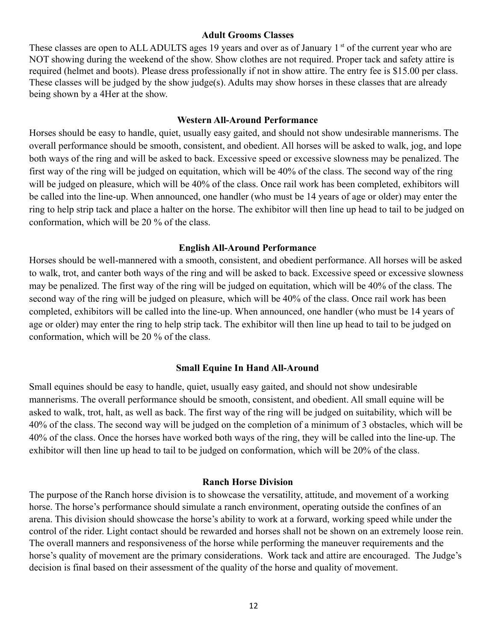#### **Adult Grooms Classes**

These classes are open to ALL ADULTS ages 19 years and over as of January 1<sup>st</sup> of the current year who are NOT showing during the weekend of the show. Show clothes are not required. Proper tack and safety attire is required (helmet and boots). Please dress professionally if not in show attire. The entry fee is \$15.00 per class. These classes will be judged by the show judge(s). Adults may show horses in these classes that are already being shown by a 4Her at the show.

#### **Western All-Around Performance**

Horses should be easy to handle, quiet, usually easy gaited, and should not show undesirable mannerisms. The overall performance should be smooth, consistent, and obedient. All horses will be asked to walk, jog, and lope both ways of the ring and will be asked to back. Excessive speed or excessive slowness may be penalized. The first way of the ring will be judged on equitation, which will be 40% of the class. The second way of the ring will be judged on pleasure, which will be 40% of the class. Once rail work has been completed, exhibitors will be called into the line-up. When announced, one handler (who must be 14 years of age or older) may enter the ring to help strip tack and place a halter on the horse. The exhibitor will then line up head to tail to be judged on conformation, which will be 20 % of the class.

#### **English All-Around Performance**

Horses should be well-mannered with a smooth, consistent, and obedient performance. All horses will be asked to walk, trot, and canter both ways of the ring and will be asked to back. Excessive speed or excessive slowness may be penalized. The first way of the ring will be judged on equitation, which will be 40% of the class. The second way of the ring will be judged on pleasure, which will be 40% of the class. Once rail work has been completed, exhibitors will be called into the line-up. When announced, one handler (who must be 14 years of age or older) may enter the ring to help strip tack. The exhibitor will then line up head to tail to be judged on conformation, which will be 20 % of the class.

#### **Small Equine In Hand All-Around**

Small equines should be easy to handle, quiet, usually easy gaited, and should not show undesirable mannerisms. The overall performance should be smooth, consistent, and obedient. All small equine will be asked to walk, trot, halt, as well as back. The first way of the ring will be judged on suitability, which will be 40% of the class. The second way will be judged on the completion of a minimum of 3 obstacles, which will be 40% of the class. Once the horses have worked both ways of the ring, they will be called into the line-up. The exhibitor will then line up head to tail to be judged on conformation, which will be 20% of the class.

#### **Ranch Horse Division**

The purpose of the Ranch horse division is to showcase the versatility, attitude, and movement of a working horse. The horse's performance should simulate a ranch environment, operating outside the confines of an arena. This division should showcase the horse's ability to work at a forward, working speed while under the control of the rider. Light contact should be rewarded and horses shall not be shown on an extremely loose rein. The overall manners and responsiveness of the horse while performing the maneuver requirements and the horse's quality of movement are the primary considerations. Work tack and attire are encouraged. The Judge's decision is final based on their assessment of the quality of the horse and quality of movement.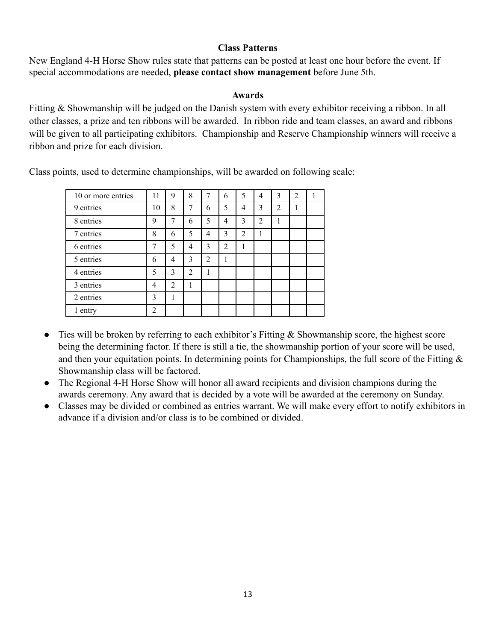#### **Class Patterns**

New England 4-H Horse Show rules state that patterns can be posted at least one hour before the event. If special accommodations are needed, **please contact show management** before June 5th.

#### **Awards**

Fitting & Showmanship will be judged on the Danish system with every exhibitor receiving a ribbon. In all other classes, a prize and ten ribbons will be awarded. In ribbon ride and team classes, an award and ribbons will be given to all participating exhibitors. Championship and Reserve Championship winners will receive a ribbon and prize for each division.

| 10 or more entries | 11 | 9 | 8 | 7              | 6              | 5 | 4              | 3              | $\overline{2}$ |  |
|--------------------|----|---|---|----------------|----------------|---|----------------|----------------|----------------|--|
| 9 entries          | 10 | 8 | 7 | 6              | 5              | 4 | 3              | $\overline{2}$ |                |  |
| 8 entries          | 9  | 7 | 6 | 5              | 4              | 3 | $\overline{2}$ |                |                |  |
| 7 entries          | 8  | 6 | 5 | 4              | 3              | 2 | 1              |                |                |  |
| 6 entries          | 7  | 5 | 4 | 3              | $\overline{2}$ |   |                |                |                |  |
| 5 entries          | 6  | 4 | 3 | $\overline{2}$ | 1              |   |                |                |                |  |
| 4 entries          | 5  | 3 | 2 |                |                |   |                |                |                |  |
| 3 entries          | 4  | 2 | 1 |                |                |   |                |                |                |  |
| 2 entries          | 3  |   |   |                |                |   |                |                |                |  |
| 1 entry            | ↑  |   |   |                |                |   |                |                |                |  |

Class points, used to determine championships, will be awarded on following scale:

- Ties will be broken by referring to each exhibitor's Fitting & Showmanship score, the highest score being the determining factor. If there is still a tie, the showmanship portion of your score will be used, and then your equitation points. In determining points for Championships, the full score of the Fitting & Showmanship class will be factored.
- The Regional 4-H Horse Show will honor all award recipients and division champions during the awards ceremony. Any award that is decided by a vote will be awarded at the ceremony on Sunday.
- Classes may be divided or combined as entries warrant. We will make every effort to notify exhibitors in advance if a division and/or class is to be combined or divided.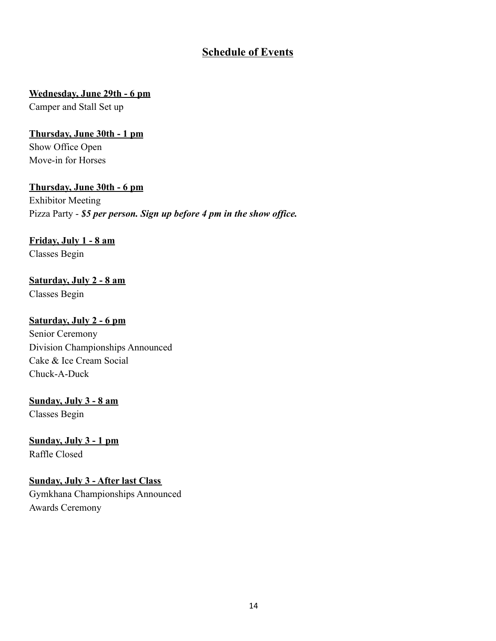#### **Schedule of Events**

#### **Wednesday, June 29th - 6 pm**

Camper and Stall Set up

#### **Thursday, June 30th - 1 pm**

Show Office Open Move-in for Horses

#### **Thursday, June 30th - 6 pm**

Exhibitor Meeting Pizza Party - *\$5 per person. Sign up before 4 pm in the show office.*

#### **Friday, July 1 - 8 am**

Classes Begin

#### **Saturday, July 2 - 8 am** Classes Begin

#### **Saturday, July 2 - 6 pm**

Senior Ceremony Division Championships Announced Cake & Ice Cream Social Chuck-A-Duck

#### **Sunday, July 3 - 8 am**

Classes Begin

**Sunday, July 3 - 1 pm** Raffle Closed

#### **Sunday, July 3 - After last Class** Gymkhana Championships Announced Awards Ceremony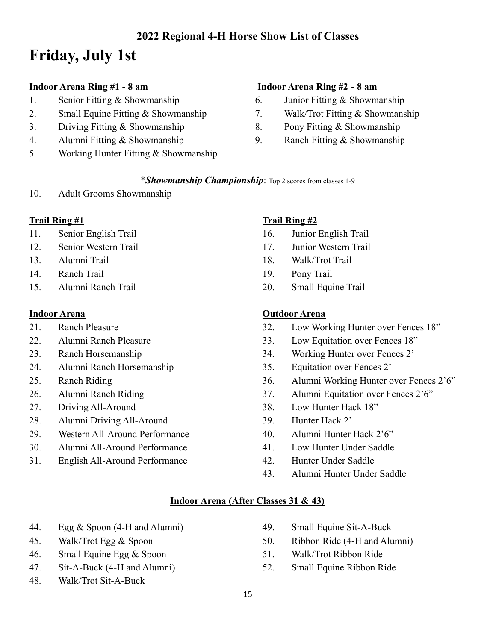#### **2022 Regional 4-H Horse Show List of Classes**

### **Friday, July 1st**

#### **Indoor Arena Ring #1 - 8 am**

- 1. Senior Fitting & Showmanship
- 2. Small Equine Fitting & Showmanship
- 3. Driving Fitting & Showmanship
- 4. Alumni Fitting & Showmanship
- 5. Working Hunter Fitting & Showmanship

#### **Indoor Arena Ring #2 - 8 am**

- 6. Junior Fitting & Showmanship
- 7. Walk/Trot Fitting & Showmanship
- 8. Pony Fitting & Showmanship
- 9. Ranch Fitting & Showmanship

#### \**Showmanship Championship*: Top 2 scores from classes 1-9

10. Adult Grooms Showmanship

#### **Trail Ring #1**

- 11. Senior English Trail
- 12. Senior Western Trail
- 13. Alumni Trail
- 14. Ranch Trail
- 15. Alumni Ranch Trail

#### **Indoor Arena**

- 21 Ranch Pleasure
- 22. Alumni Ranch Pleasure
- 23. Ranch Horsemanship
- 24. Alumni Ranch Horsemanship
- 25. Ranch Riding
- 26. Alumni Ranch Riding
- 27. Driving All-Around
- 28. Alumni Driving All-Around
- 29. Western All-Around Performance
- 30. Alumni All-Around Performance
- 31. English All-Around Performance

#### **Trail Ring #2**

- 16. Junior English Trail
- 17. Junior Western Trail
- 18. Walk/Trot Trail
- 19. Pony Trail
- 20. Small Equine Trail

#### **Outdoor Arena**

- 32. Low Working Hunter over Fences 18"
- 33. Low Equitation over Fences 18"
- 34. Working Hunter over Fences 2'
- 35. Equitation over Fences 2'
- 36. Alumni Working Hunter over Fences 2'6"
- 37. Alumni Equitation over Fences 2'6"
- 38. Low Hunter Hack 18"
- 39. Hunter Hack 2'
- 40. Alumni Hunter Hack 2'6"
- 41. Low Hunter Under Saddle
- 42. Hunter Under Saddle
- 43. Alumni Hunter Under Saddle

#### **Indoor Arena (After Classes 31 & 43)**

- 44. Egg & Spoon (4-H and Alumni)
- 45. Walk/Trot Egg & Spoon
- 46. Small Equine Egg & Spoon
- 47. Sit-A-Buck (4-H and Alumni)
- 48. Walk/Trot Sit-A-Buck
- 49. Small Equine Sit-A-Buck
- 50. Ribbon Ride (4-H and Alumni)
- 51. Walk/Trot Ribbon Ride
- 52. Small Equine Ribbon Ride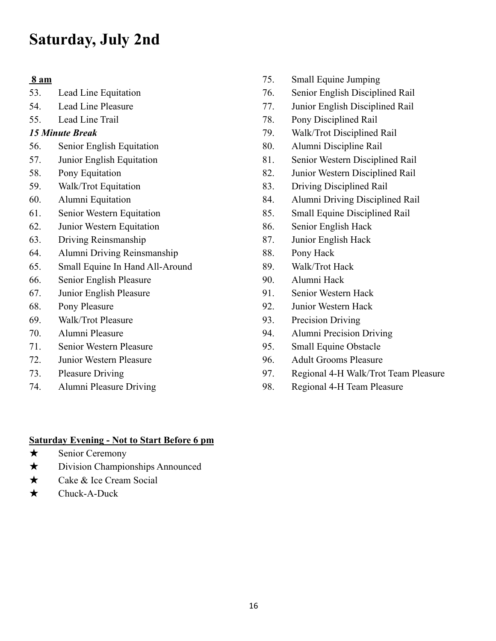### **Saturday, July 2nd**

#### **8 am**

- 53. Lead Line Equitation
- 54. Lead Line Pleasure
- 55. Lead Line Trail

#### *15 Minute Break*

- 56. Senior English Equitation
- 57. Junior English Equitation
- 58. Pony Equitation
- 59. Walk/Trot Equitation
- 60. Alumni Equitation
- 61. Senior Western Equitation
- 62. Junior Western Equitation
- 63. Driving Reinsmanship
- 64. Alumni Driving Reinsmanship
- 65. Small Equine In Hand All-Around
- 66. Senior English Pleasure
- 67. Junior English Pleasure
- 68. Pony Pleasure
- 69. Walk/Trot Pleasure
- 70. Alumni Pleasure
- 71. Senior Western Pleasure
- 72. Junior Western Pleasure
- 73. Pleasure Driving
- 74. Alumni Pleasure Driving
- 75. Small Equine Jumping
- 76. Senior English Disciplined Rail
- 77. Junior English Disciplined Rail
- 78. Pony Disciplined Rail
- 79. Walk/Trot Disciplined Rail
- 80. Alumni Discipline Rail
- 81. Senior Western Disciplined Rail
- 82. Junior Western Disciplined Rail
- 83. Driving Disciplined Rail
- 84. Alumni Driving Disciplined Rail
- 85. Small Equine Disciplined Rail
- 86. Senior English Hack
- 87. Junior English Hack
- 88. Pony Hack
- 89. Walk/Trot Hack
- 90. Alumni Hack
- 91. Senior Western Hack
- 92. Junior Western Hack
- 93. Precision Driving
- 94. Alumni Precision Driving
- 95. Small Equine Obstacle
- 96. Adult Grooms Pleasure
- 97. Regional 4-H Walk/Trot Team Pleasure
- 98. Regional 4-H Team Pleasure

#### **Saturday Evening - Not to Start Before 6 pm**

- ★ Senior Ceremony
- ★ Division Championships Announced
- ★ Cake & Ice Cream Social
- ★ Chuck-A-Duck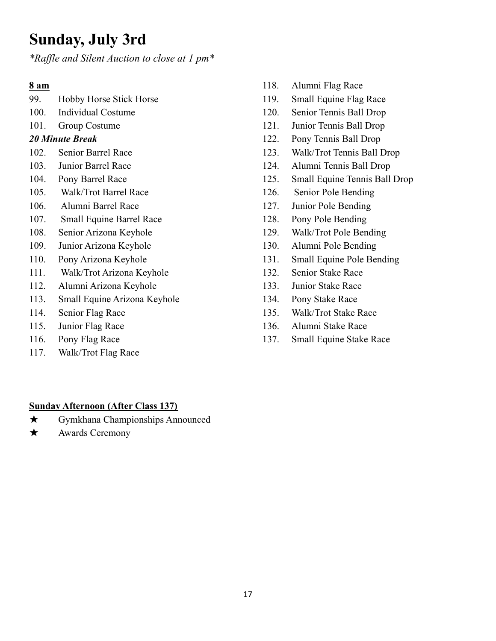### **Sunday, July 3rd**

*\*Raf le and Silent Auction to close at 1 pm\**

#### **8 am**

- 99. Hobby Horse Stick Horse
- 100. Individual Costume
- 101. Group Costume

#### *20 Minute Break*

- 102. Senior Barrel Race
- 103. Junior Barrel Race
- 104. Pony Barrel Race
- 105. Walk/Trot Barrel Race
- 106. Alumni Barrel Race
- 107. Small Equine Barrel Race
- 108. Senior Arizona Keyhole
- 109. Junior Arizona Keyhole
- 110. Pony Arizona Keyhole
- 111. Walk/Trot Arizona Keyhole
- 112. Alumni Arizona Keyhole
- 113. Small Equine Arizona Keyhole
- 114. Senior Flag Race
- 115. Junior Flag Race
- 116. Pony Flag Race
- 117. Walk/Trot Flag Race
- 118. Alumni Flag Race
- 119. Small Equine Flag Race
- 120. Senior Tennis Ball Drop
- 121. Junior Tennis Ball Drop
- 122. Pony Tennis Ball Drop
- 123. Walk/Trot Tennis Ball Drop
- 124. Alumni Tennis Ball Drop
- 125. Small Equine Tennis Ball Drop
- 126. Senior Pole Bending
- 127. Junior Pole Bending
- 128. Pony Pole Bending
- 129. Walk/Trot Pole Bending
- 130. Alumni Pole Bending
- 131. Small Equine Pole Bending
- 132. Senior Stake Race
- 133. Junior Stake Race
- 134. Pony Stake Race
- 135. Walk/Trot Stake Race
- 136. Alumni Stake Race
- 137. Small Equine Stake Race

#### **Sunday Afternoon (After Class 137)**

- ★ Gymkhana Championships Announced
- **★** Awards Ceremony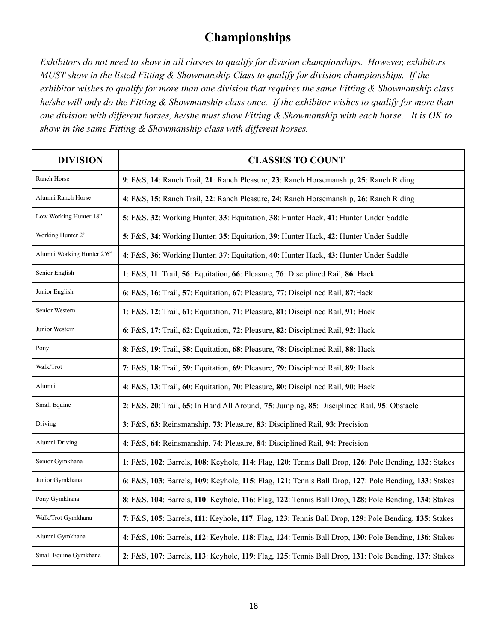#### **Championships**

*Exhibitors do not need to show in all classes to qualify for division championships. However, exhibitors MUST show in the listed Fitting & Showmanship Class to qualify for division championships. If the exhibitor wishes to qualify for more than one division that requires the same Fitting & Showmanship class he/she will only do the Fitting & Showmanship class once. If the exhibitor wishes to qualify for more than one division with different horses, he/she must show Fitting & Showmanship with each horse. It is OK to show in the same Fitting & Showmanship class with different horses.*

| <b>DIVISION</b>                                                                                                         | <b>CLASSES TO COUNT</b>                                                                              |
|-------------------------------------------------------------------------------------------------------------------------|------------------------------------------------------------------------------------------------------|
| Ranch Horse                                                                                                             | 9: F&S, 14: Ranch Trail, 21: Ranch Pleasure, 23: Ranch Horsemanship, 25: Ranch Riding                |
| Alumni Ranch Horse                                                                                                      | 4: F&S, 15: Ranch Trail, 22: Ranch Pleasure, 24: Ranch Horsemanship, 26: Ranch Riding                |
| Low Working Hunter 18"                                                                                                  | 5: F&S, 32: Working Hunter, 33: Equitation, 38: Hunter Hack, 41: Hunter Under Saddle                 |
| Working Hunter 2'                                                                                                       | 5: F&S, 34: Working Hunter, 35: Equitation, 39: Hunter Hack, 42: Hunter Under Saddle                 |
| Alumni Working Hunter 2'6"                                                                                              | 4: F&S, 36: Working Hunter, 37: Equitation, 40: Hunter Hack, 43: Hunter Under Saddle                 |
| Senior English                                                                                                          | 1: F&S, 11: Trail, 56: Equitation, 66: Pleasure, 76: Disciplined Rail, 86: Hack                      |
| Junior English                                                                                                          | 6: F&S, 16: Trail, 57: Equitation, 67: Pleasure, 77: Disciplined Rail, 87: Hack                      |
| Senior Western                                                                                                          | 1: F&S, 12: Trail, 61: Equitation, 71: Pleasure, 81: Disciplined Rail, 91: Hack                      |
| Junior Western                                                                                                          | 6: F&S, 17: Trail, 62: Equitation, 72: Pleasure, 82: Disciplined Rail, 92: Hack                      |
| Pony                                                                                                                    | 8: F&S, 19: Trail, 58: Equitation, 68: Pleasure, 78: Disciplined Rail, 88: Hack                      |
| Walk/Trot                                                                                                               | 7: F&S, 18: Trail, 59: Equitation, 69: Pleasure, 79: Disciplined Rail, 89: Hack                      |
| Alumni                                                                                                                  | 4: F&S, 13: Trail, 60: Equitation, 70: Pleasure, 80: Disciplined Rail, 90: Hack                      |
| Small Equine                                                                                                            | 2: F&S, 20: Trail, 65: In Hand All Around, 75: Jumping, 85: Disciplined Rail, 95: Obstacle           |
| Driving                                                                                                                 | 3: F&S, 63: Reinsmanship, 73: Pleasure, 83: Disciplined Rail, 93: Precision                          |
| Alumni Driving                                                                                                          | 4: F&S, 64: Reinsmanship, 74: Pleasure, 84: Disciplined Rail, 94: Precision                          |
| Senior Gymkhana                                                                                                         | 1: F&S, 102: Barrels, 108: Keyhole, 114: Flag, 120: Tennis Ball Drop, 126: Pole Bending, 132: Stakes |
| Junior Gymkhana<br>6: F&S, 103: Barrels, 109: Keyhole, 115: Flag, 121: Tennis Ball Drop, 127: Pole Bending, 133: Stakes |                                                                                                      |
| Pony Gymkhana                                                                                                           | 8: F&S, 104: Barrels, 110: Keyhole, 116: Flag, 122: Tennis Ball Drop, 128: Pole Bending, 134: Stakes |
| Walk/Trot Gymkhana                                                                                                      | 7: F&S, 105: Barrels, 111: Keyhole, 117: Flag, 123: Tennis Ball Drop, 129: Pole Bending, 135: Stakes |
| Alumni Gymkhana                                                                                                         | 4: F&S, 106: Barrels, 112: Keyhole, 118: Flag, 124: Tennis Ball Drop, 130: Pole Bending, 136: Stakes |
| Small Equine Gymkhana                                                                                                   | 2: F&S, 107: Barrels, 113: Keyhole, 119: Flag, 125: Tennis Ball Drop, 131: Pole Bending, 137: Stakes |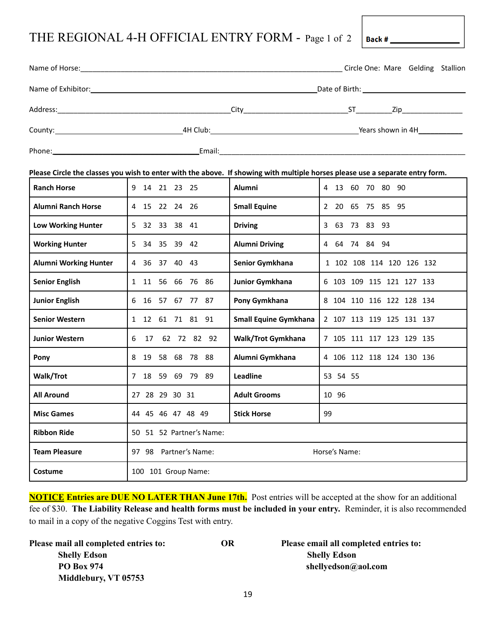### THE REGIONAL 4-H OFFICIAL ENTRY FORM - Page 1 of 2

|                              |                          |                              | Circle One: Mare Gelding Stallion                                                                                             |
|------------------------------|--------------------------|------------------------------|-------------------------------------------------------------------------------------------------------------------------------|
|                              |                          |                              |                                                                                                                               |
|                              |                          |                              |                                                                                                                               |
|                              |                          |                              |                                                                                                                               |
|                              |                          |                              |                                                                                                                               |
|                              |                          |                              | Please Circle the classes you wish to enter with the above. If showing with multiple horses please use a separate entry form. |
| <b>Ranch Horse</b>           | 9 14 21 23 25            | <b>Alumni</b>                | 4 13 60 70 80 90                                                                                                              |
| <b>Alumni Ranch Horse</b>    | 4 15 22 24 26            | <b>Small Equine</b>          | 2 20 65 75 85 95                                                                                                              |
| <b>Low Working Hunter</b>    | 5 32 33 38 41            | <b>Driving</b>               | 3 63 73 83 93                                                                                                                 |
| <b>Working Hunter</b>        | 5 34 35 39 42            | <b>Alumni Driving</b>        | 4 64 74 84 94                                                                                                                 |
| <b>Alumni Working Hunter</b> | 4 36 37 40 43            | Senior Gymkhana              | 1 102 108 114 120 126 132                                                                                                     |
| <b>Senior English</b>        | 1 11 56 66 76 86         | Junior Gymkhana              | 6 103 109 115 121 127 133                                                                                                     |
| <b>Junior English</b>        | 6 16 57 67 77 87         | Pony Gymkhana                | 8 104 110 116 122 128 134                                                                                                     |
| <b>Senior Western</b>        | 1 12 61 71 81 91         | <b>Small Equine Gymkhana</b> | 2 107 113 119 125 131 137                                                                                                     |
| <b>Junior Western</b>        | 6 17 62 72 82 92         | Walk/Trot Gymkhana           | 7 105 111 117 123 129 135                                                                                                     |
| Pony                         | 8 19 58 68 78 88         | Alumni Gymkhana              | 4 106 112 118 124 130 136                                                                                                     |
| Walk/Trot                    | 7 18 59 69 79 89         | <b>Leadline</b>              | 53 54 55                                                                                                                      |
| <b>All Around</b>            | 27 28 29 30 31           | <b>Adult Grooms</b>          | 10 96                                                                                                                         |
| <b>Misc Games</b>            | 44 45 46 47 48 49        | <b>Stick Horse</b>           | 99                                                                                                                            |
| <b>Ribbon Ride</b>           | 50 51 52 Partner's Name: |                              |                                                                                                                               |
| <b>Team Pleasure</b>         | 97 98 Partner's Name:    |                              | Horse's Name:                                                                                                                 |
| Costume                      | 100 101 Group Name:      |                              |                                                                                                                               |

Back #

**NOTICE Entries are DUE NO LATER THAN June 17th.** Post entries will be accepted at the show for an additional fee of \$30. **The Liability Release and health forms must be included in your entry.** Reminder, it is also recommended to mail in a copy of the negative Coggins Test with entry.

| Please mail all completed entries to: | OR | Please email all completed entries to: |
|---------------------------------------|----|----------------------------------------|
| <b>Shelly Edson</b>                   |    | <b>Shelly Edson</b>                    |
| <b>PO Box 974</b>                     |    | shellyedson@aol.com                    |
| Middlebury, VT 05753                  |    |                                        |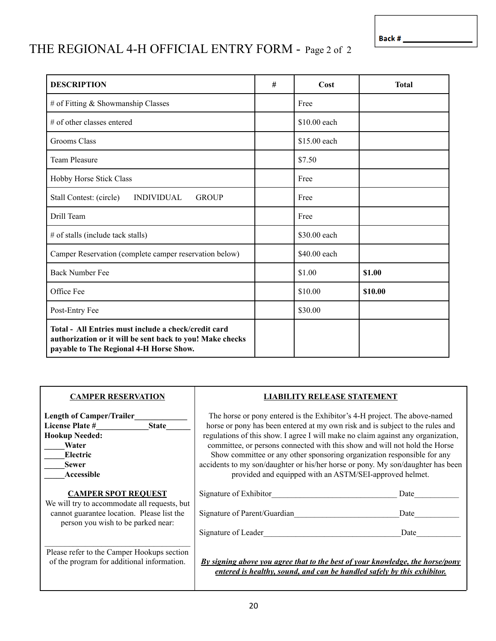Back #

### THE REGIONAL 4-H OFFICIAL ENTRY FORM - Page 2 of 2

| <b>DESCRIPTION</b>                                                                                                                                           | # | Cost         | <b>Total</b> |
|--------------------------------------------------------------------------------------------------------------------------------------------------------------|---|--------------|--------------|
| # of Fitting & Showmanship Classes                                                                                                                           |   | Free         |              |
| # of other classes entered                                                                                                                                   |   | \$10.00 each |              |
| Grooms Class                                                                                                                                                 |   | \$15.00 each |              |
| <b>Team Pleasure</b>                                                                                                                                         |   | \$7.50       |              |
| Hobby Horse Stick Class                                                                                                                                      |   | Free         |              |
| Stall Contest: (circle)<br><b>INDIVIDUAL</b><br><b>GROUP</b>                                                                                                 |   | Free         |              |
| Drill Team                                                                                                                                                   |   | Free         |              |
| # of stalls (include tack stalls)                                                                                                                            |   | \$30.00 each |              |
| Camper Reservation (complete camper reservation below)                                                                                                       |   | \$40.00 each |              |
| <b>Back Number Fee</b>                                                                                                                                       |   | \$1.00       | \$1.00       |
| Office Fee                                                                                                                                                   |   | \$10.00      | \$10.00      |
| Post-Entry Fee                                                                                                                                               |   | \$30.00      |              |
| Total - All Entries must include a check/credit card<br>authorization or it will be sent back to you! Make checks<br>payable to The Regional 4-H Horse Show. |   |              |              |

| <b>CAMPER RESERVATION</b>                                                                                                                                      | <b>LIABILITY RELEASE STATEMENT</b>                                                                                                                                                                                                                                                                                                                                                                                                                                                                                                                    |                      |
|----------------------------------------------------------------------------------------------------------------------------------------------------------------|-------------------------------------------------------------------------------------------------------------------------------------------------------------------------------------------------------------------------------------------------------------------------------------------------------------------------------------------------------------------------------------------------------------------------------------------------------------------------------------------------------------------------------------------------------|----------------------|
| <b>Length of Camper/Trailer</b><br><b>License Plate #</b><br><b>State</b><br><b>Hookup Needed:</b><br>Water<br>Electric<br><b>Sewer</b><br>Accessible          | The horse or pony entered is the Exhibitor's 4-H project. The above-named<br>horse or pony has been entered at my own risk and is subject to the rules and<br>regulations of this show. I agree I will make no claim against any organization,<br>committee, or persons connected with this show and will not hold the Horse<br>Show committee or any other sponsoring organization responsible for any<br>accidents to my son/daughter or his/her horse or pony. My son/daughter has been<br>provided and equipped with an ASTM/SEI-approved helmet. |                      |
| <b>CAMPER SPOT REQUEST</b><br>We will try to accommodate all requests, but<br>cannot guarantee location. Please list the<br>person you wish to be parked near: | Signature of Exhibitor<br>Signature of Parent/Guardian<br>Signature of Leader                                                                                                                                                                                                                                                                                                                                                                                                                                                                         | Date<br>Date<br>Date |
| Please refer to the Camper Hookups section<br>of the program for additional information.                                                                       | <u>By signing above you agree that to the best of your knowledge, the horse/pony</u><br>entered is healthy, sound, and can be handled safely by this exhibitor.                                                                                                                                                                                                                                                                                                                                                                                       |                      |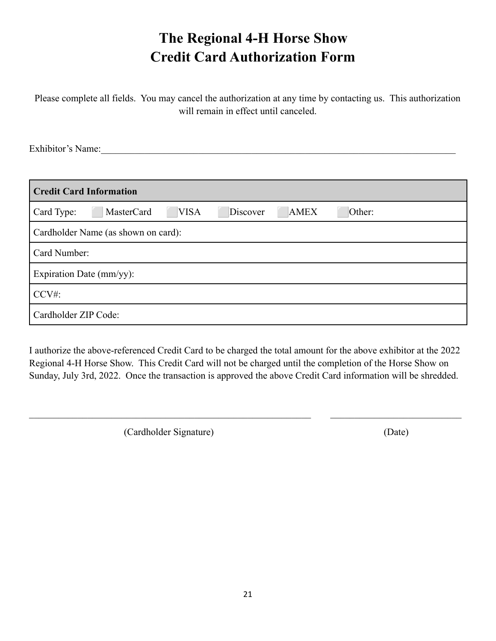### **The Regional 4-H Horse Show Credit Card Authorization Form**

Please complete all fields. You may cancel the authorization at any time by contacting us. This authorization will remain in effect until canceled.

Exhibitor's Name:

| <b>Credit Card Information</b>                                               |  |
|------------------------------------------------------------------------------|--|
| MasterCard<br><b>VISA</b><br>Card Type:<br><b>AMEX</b><br>Discover<br>Other: |  |
| Cardholder Name (as shown on card):                                          |  |
| Card Number:                                                                 |  |
| Expiration Date (mm/yy):                                                     |  |
| CCV#                                                                         |  |
| Cardholder ZIP Code:                                                         |  |

I authorize the above-referenced Credit Card to be charged the total amount for the above exhibitor at the 2022 Regional 4-H Horse Show. This Credit Card will not be charged until the completion of the Horse Show on Sunday, July 3rd, 2022. Once the transaction is approved the above Credit Card information will be shredded.

 $\mathcal{L}_\mathcal{L} = \{ \mathcal{L}_\mathcal{L} = \{ \mathcal{L}_\mathcal{L} = \{ \mathcal{L}_\mathcal{L} = \{ \mathcal{L}_\mathcal{L} = \{ \mathcal{L}_\mathcal{L} = \{ \mathcal{L}_\mathcal{L} = \{ \mathcal{L}_\mathcal{L} = \{ \mathcal{L}_\mathcal{L} = \{ \mathcal{L}_\mathcal{L} = \{ \mathcal{L}_\mathcal{L} = \{ \mathcal{L}_\mathcal{L} = \{ \mathcal{L}_\mathcal{L} = \{ \mathcal{L}_\mathcal{L} = \{ \mathcal{L}_\mathcal{$ 

(Cardholder Signature) (Date)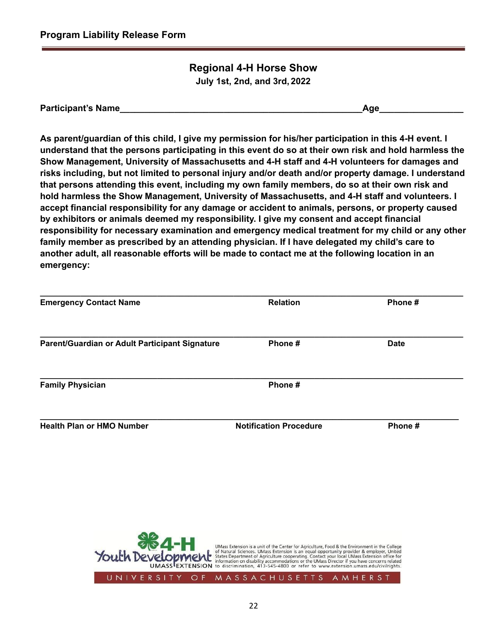#### **Regional 4-H Horse Show July 1st, 2nd, and 3rd, 2022**

| <b>Participant's Name</b> |  |
|---------------------------|--|
|---------------------------|--|

**As parent/guardian of this child, I give my permission for his/her participation in this 4-H event. I** understand that the persons participating in this event do so at their own risk and hold harmless the **Show Management, University of Massachusetts and 4-H staff and 4-H volunteers for damages and risks including, but not limited to personal injury and/or death and/or property damage. I understand that persons attending this event, including my own family members, do so at their own risk and hold harmless the Show Management, University of Massachusetts, and 4-H staff and volunteers. I accept financial responsibility for any damage or accident to animals, persons, or property caused by exhibitors or animals deemed my responsibility. I give my consent and accept financial responsibility for necessary examination and emergency medical treatment for my child or any other family member as prescribed by an attending physician. If I have delegated my child's care to another adult, all reasonable efforts will be made to contact me at the following location in an emergency:**

| <b>Emergency Contact Name</b>                  | <b>Relation</b>               | Phone #     |
|------------------------------------------------|-------------------------------|-------------|
| Parent/Guardian or Adult Participant Signature | Phone#                        | <b>Date</b> |
| <b>Family Physician</b>                        | Phone #                       |             |
| <b>Health Plan or HMO Number</b>               | <b>Notification Procedure</b> | Phone#      |

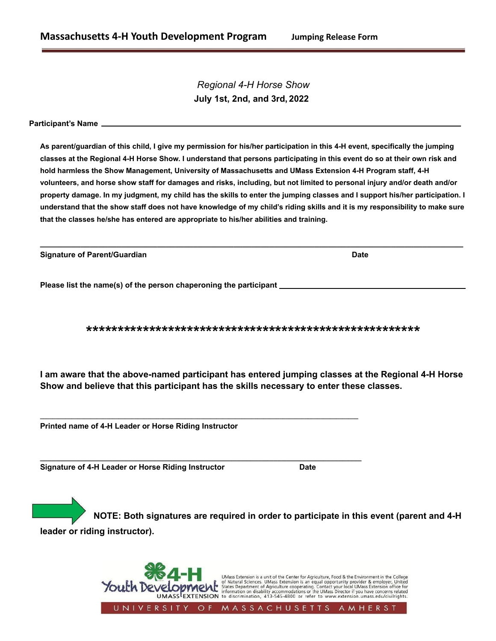*Regional 4-H Horse Show* **July 1st, 2nd, and 3rd, 2022**

**Participant's Name**

**As parent/guardian of this child, I give my permission for his/her participation in this 4-H event, specifically the jumping classes at the Regional 4-H Horse Show. I understand that persons participating in this event do so at their own risk and hold harmless the Show Management, University of Massachusetts and UMass Extension 4-H Program staff, 4-H volunteers, and horse show staff for damages and risks, including, but not limited to personal injury and/or death and/or property damage. In my judgment, my child has the skills to enter the jumping classes and I support his/her participation. I understand that the show staff does not have knowledge of my child's riding skills and it is my responsibility to make sure that the classes he/she has entered are appropriate to his/her abilities and training.**

**\_\_\_\_\_\_\_\_\_\_\_\_\_\_\_\_\_\_\_\_\_\_\_\_\_\_\_\_\_\_\_\_\_\_\_\_\_\_\_\_\_\_\_\_\_\_\_\_\_\_\_\_\_\_\_\_\_\_\_\_\_\_\_\_\_\_\_\_\_\_\_\_\_\_\_\_\_\_\_\_\_\_\_\_\_\_\_\_\_\_\_\_\_\_**

| <b>Signature of Parent/Guardian</b> | <b>Date</b> |
|-------------------------------------|-------------|
|                                     |             |

**Please list the name(s) of the person chaperoning the participant**

**\*\*\*\*\*\*\*\*\*\*\*\*\*\*\*\*\*\*\*\*\*\*\*\*\*\*\*\*\*\*\*\*\*\*\*\*\*\*\*\*\*\*\*\*\*\*\*\*\*\*\*\*\***

**I am aware that the above-named participant has entered jumping classes at the Regional 4-H Horse Show and believe that this participant has the skills necessary to enter these classes.**

**\_\_\_\_\_\_\_\_\_\_\_\_\_\_\_\_\_\_\_\_\_\_\_\_\_\_\_\_\_\_\_\_\_\_\_\_\_\_\_\_\_\_\_\_\_\_\_\_\_\_\_\_\_\_\_\_\_\_\_\_\_\_\_\_\_\_\_\_\_\_\_\_\_\_\_\_\_\_\_\_\_\_\_\_\_\_\_\_\_\_\_\_\_\_\_\_\_\_\_\_\_**

**\_\_\_\_\_\_\_\_\_\_\_\_\_\_\_\_\_\_\_\_\_\_\_\_\_\_\_\_\_\_\_\_\_\_\_\_\_\_\_\_\_\_\_\_\_\_\_\_\_\_\_\_\_\_\_\_\_\_\_\_\_\_\_\_\_\_\_\_\_\_\_\_\_\_\_\_\_\_\_\_\_\_\_\_**

**Printed name of 4-H Leader or Horse Riding Instructor**

**Signature of 4-H Leader or Horse Riding Instructor Date**

**NOTE: Both signatures are required in order to participate in this event (parent and 4-H leader or riding instructor).**

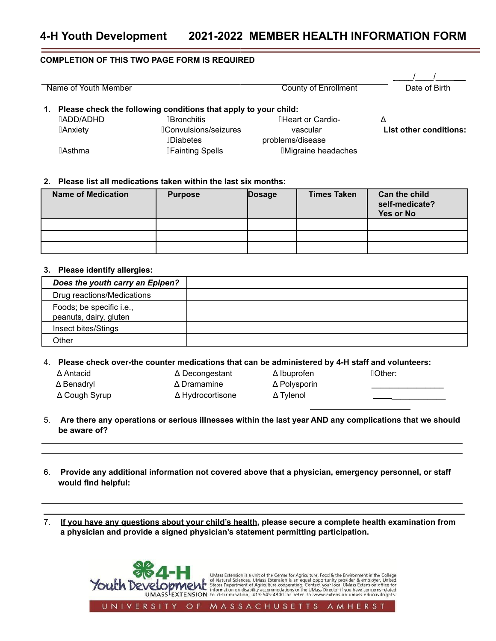#### **COMPLETION OF THIS TWO PAGE FORM IS REQUIRED**

| Name of Youth Member |                  | County of Enrollment                                            | Date of Birth              |                               |
|----------------------|------------------|-----------------------------------------------------------------|----------------------------|-------------------------------|
| 1.                   |                  | Please check the following conditions that apply to your child: |                            |                               |
|                      | <b>TADD/ADHD</b> | <b>Bronchitis</b>                                               | <b>IHeart or Cardio-</b>   | Δ                             |
|                      | <b>Anxiety</b>   | <b>Convulsions/seizures</b>                                     | vascular                   | <b>List other conditions:</b> |
|                      |                  | <b>Diabetes</b>                                                 | problems/disease           |                               |
|                      | ⊺Asthma          | <b>IFainting Spells</b>                                         | <b>IMigraine headaches</b> |                               |

#### **2. Please list all medications taken within the last six months:**

| <b>Name of Medication</b> | <b>Purpose</b> | Dosage | <b>Times Taken</b> | Can the child<br>self-medicate?<br>Yes or No |
|---------------------------|----------------|--------|--------------------|----------------------------------------------|
|                           |                |        |                    |                                              |
|                           |                |        |                    |                                              |
|                           |                |        |                    |                                              |

#### **3. Please identify allergies:**

| Does the youth carry an Epipen?                    |  |
|----------------------------------------------------|--|
| Drug reactions/Medications                         |  |
| Foods; be specific i.e.,<br>peanuts, dairy, gluten |  |
| Insect bites/Stings                                |  |
| Other                                              |  |

4. **Please check over-the counter medications that can be administered by 4-H staff and volunteers:**

- 
- Δ Antacid Δ Decongestant Δ Ibuprofen ▯Other: Δ Benadryl Δ Dramamine Δ Polysporin \_\_\_\_\_\_\_\_\_\_\_\_\_\_\_\_ Δ Cough Syrup Δ Hydrocortisone Δ Tylenol \_\_\_\_\_\_\_\_\_\_\_\_
- 

- 5. Are there any operations or serious illnesses within the last year AND any complications that we should **be aware of?**
- 6. **Provide any additional information not covered above that a physician, emergency personnel, or staff would find helpful:**
- 7. **If you have any questions about your child's health, please secure a complete health examination from a physician and provide a signed physician's statement permitting participation.**

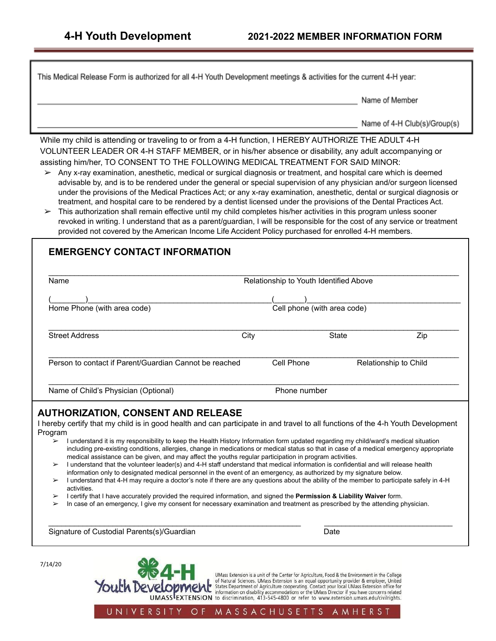This Medical Release Form is authorized for all 4-H Youth Development meetings & activities for the current 4-H year:

Name of Member

Name of 4-H Club(s)/Group(s)

While my child is attending or traveling to or from a 4-H function, I HEREBY AUTHORIZE THE ADULT 4-H VOLUNTEER LEADER OR 4-H STAFF MEMBER, or in his/her absence or disability, any adult accompanying or assisting him/her, TO CONSENT TO THE FOLLOWING MEDICAL TREATMENT FOR SAID MINOR:

- $\triangleright$  Any x-ray examination, anesthetic, medical or surgical diagnosis or treatment, and hospital care which is deemed advisable by, and is to be rendered under the general or special supervision of any physician and/or surgeon licensed under the provisions of the Medical Practices Act; or any x-ray examination, anesthetic, dental or surgical diagnosis or treatment, and hospital care to be rendered by a dentist licensed under the provisions of the Dental Practices Act.
- $\triangleright$  This authorization shall remain effective until my child completes his/her activities in this program unless sooner revoked in writing. I understand that as a parent/guardian, I will be responsible for the cost of any service or treatment provided not covered by the American Income Life Accident Policy purchased for enrolled 4-H members.

#### **EMERGENCY CONTACT INFORMATION**

| Name                                                   | Relationship to Youth Identified Above |                             |     |
|--------------------------------------------------------|----------------------------------------|-----------------------------|-----|
| Home Phone (with area code)                            |                                        | Cell phone (with area code) |     |
| <b>Street Address</b>                                  | City                                   | <b>State</b>                | Zip |
| Person to contact if Parent/Guardian Cannot be reached | Cell Phone                             | Relationship to Child       |     |
| Name of Child's Physician (Optional)                   | Phone number                           |                             |     |

#### **AUTHORIZATION, CONSENT AND RELEASE**

I hereby certify that my child is in good health and can participate in and travel to all functions of the 4-h Youth Development Program

- ➢ I understand it is my responsibility to keep the Health History Information form updated regarding my child/ward's medical situation including pre-existing conditions, allergies, change in medications or medical status so that in case of a medical emergency appropriate medical assistance can be given, and may affect the youths regular participation in program activities.
- ➢ I understand that the volunteer leader(s) and 4-H staff understand that medical information is confidential and will release health information only to designated medical personnel in the event of an emergency, as authorized by my signature below.
- ➢ I understand that 4-H may require a doctor's note if there are any questions about the ability of the member to participate safely in 4-H activities.

\_\_\_\_\_\_\_\_\_\_\_\_\_\_\_\_\_\_\_\_\_\_\_\_\_\_\_\_\_\_\_\_\_\_\_\_\_\_\_\_\_\_\_\_\_\_\_\_\_\_\_\_\_\_\_\_\_\_\_ \_\_\_\_\_\_\_\_\_\_\_\_\_\_\_\_\_\_\_\_\_\_\_\_\_\_\_\_\_\_

- ➢ I certify that I have accurately provided the required information, and signed the **Permission & Liability Waiver** form.
- In case of an emergency, I give my consent for necessary examination and treatment as prescribed by the attending physician.

Signature of Custodial Parents(s)/Guardian Date Date Date

Youth Develo

7/14/20

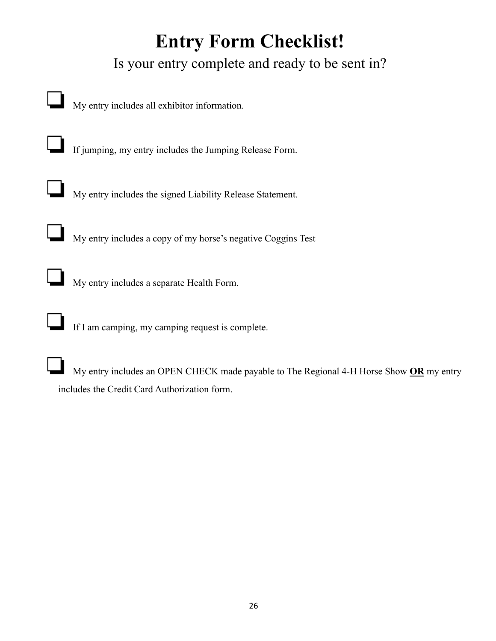## **Entry Form Checklist!**

Is your entry complete and ready to be sent in?

| My entry includes all exhibitor information.                                                                                            |
|-----------------------------------------------------------------------------------------------------------------------------------------|
| If jumping, my entry includes the Jumping Release Form.                                                                                 |
| My entry includes the signed Liability Release Statement.                                                                               |
| My entry includes a copy of my horse's negative Coggins Test                                                                            |
| My entry includes a separate Health Form.                                                                                               |
| If I am camping, my camping request is complete.                                                                                        |
| My entry includes an OPEN CHECK made payable to The Regional 4-H Horse Show OR my entry<br>includes the Credit Card Authorization form. |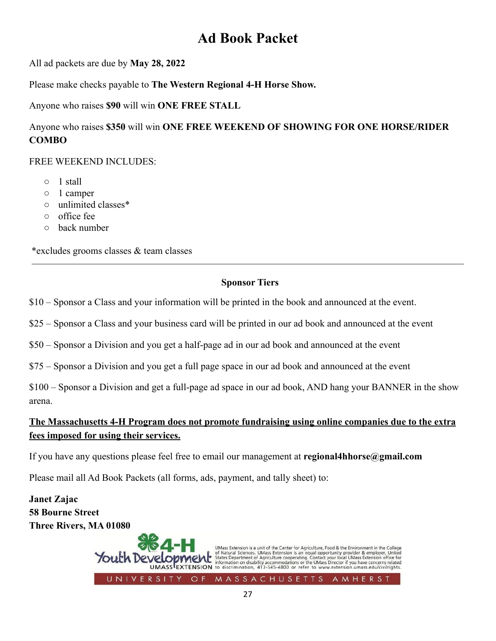### **Ad Book Packet**

All ad packets are due by **May 28, 2022**

Please make checks payable to **The Western Regional 4-H Horse Show.**

Anyone who raises **\$90** will win **ONE FREE STALL**

#### Anyone who raises **\$350** will win **ONE FREE WEEKEND OF SHOWING FOR ONE HORSE/RIDER COMBO**

FREE WEEKEND INCLUDES:

- 1 stall
- 1 camper
- unlimited classes\*
- office fee
- back number

\*excludes grooms classes & team classes

#### **Sponsor Tiers**

\$10 – Sponsor a Class and your information will be printed in the book and announced at the event.

\$25 – Sponsor a Class and your business card will be printed in our ad book and announced at the event

\$50 – Sponsor a Division and you get a half-page ad in our ad book and announced at the event

\$75 – Sponsor a Division and you get a full page space in our ad book and announced at the event

\$100 – Sponsor a Division and get a full-page ad space in our ad book, AND hang your BANNER in the show arena.

#### **The Massachusetts 4-H Program does not promote fundraising using online companies due to the extra fees imposed for using their services.**

If you have any questions please feel free to email our management at **regional4hhorse@gmail.com**

Please mail all Ad Book Packets (all forms, ads, payment, and tally sheet) to:

**Janet Zajac 58 Bourne Street Three Rivers, MA 01080**

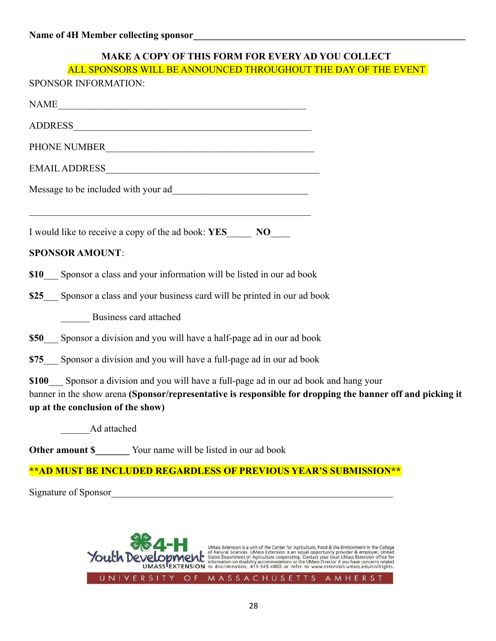#### **MAKE A COPY OF THIS FORM FOR EVERY AD YOU COLLECT**

| ALL SPONSORS WILL BE ANNOUNCED THROUGHOUT THE DAY OF THE EVENT                                                                                                                                                                            |
|-------------------------------------------------------------------------------------------------------------------------------------------------------------------------------------------------------------------------------------------|
| SPONSOR INFORMATION:                                                                                                                                                                                                                      |
| NAME                                                                                                                                                                                                                                      |
|                                                                                                                                                                                                                                           |
| PHONE NUMBER                                                                                                                                                                                                                              |
|                                                                                                                                                                                                                                           |
|                                                                                                                                                                                                                                           |
|                                                                                                                                                                                                                                           |
| <b>SPONSOR AMOUNT:</b>                                                                                                                                                                                                                    |
| \$10 Sponsor a class and your information will be listed in our ad book                                                                                                                                                                   |
| \$25 Sponsor a class and your business card will be printed in our ad book                                                                                                                                                                |
| <b>Business card attached</b>                                                                                                                                                                                                             |
| \$50 Sponsor a division and you will have a half-page ad in our ad book                                                                                                                                                                   |
| \$75_ Sponsor a division and you will have a full-page ad in our ad book                                                                                                                                                                  |
| \$100 Sponsor a division and you will have a full-page ad in our ad book and hang your<br>banner in the show arena (Sponsor/representative is responsible for dropping the banner off and picking it<br>up at the conclusion of the show) |
| Ad attached                                                                                                                                                                                                                               |
| <b>Other amount \$</b> Your name will be listed in our ad book                                                                                                                                                                            |
| ** AD MUST BE INCLUDED REGARDLESS OF PREVIOUS YEAR'S SUBMISSION**                                                                                                                                                                         |
| Signature of Sponsor                                                                                                                                                                                                                      |
|                                                                                                                                                                                                                                           |

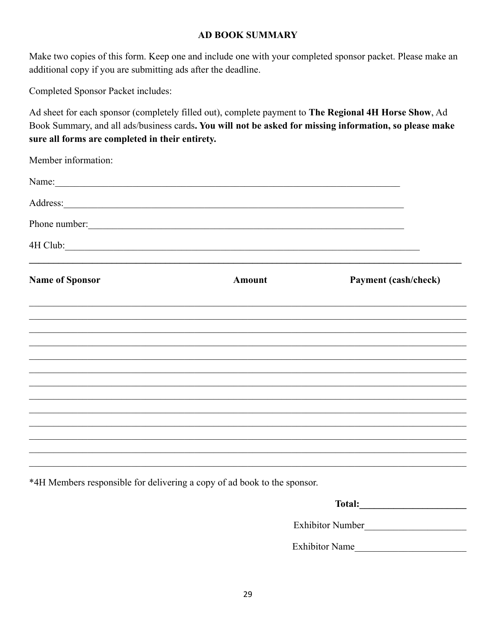#### **AD BOOK SUMMARY**

Make two copies of this form. Keep one and include one with your completed sponsor packet. Please make an additional copy if you are submitting ads after the deadline.

Completed Sponsor Packet includes:

Ad sheet for each sponsor (completely filled out), complete payment to The Regional 4H Horse Show, Ad Book Summary, and all ads/business cards. You will not be asked for missing information, so please make sure all forms are completed in their entirety.

| Member information:    |               |                      |
|------------------------|---------------|----------------------|
| Name:                  |               |                      |
|                        |               |                      |
|                        | Phone number: |                      |
| 4H Club: 2008          |               |                      |
| <b>Name of Sponsor</b> | <b>Amount</b> | Payment (cash/check) |
|                        |               |                      |
|                        |               |                      |
|                        |               |                      |
|                        |               |                      |
|                        |               |                      |
|                        |               |                      |
|                        |               |                      |
|                        |               |                      |
|                        |               |                      |

\*4H Members responsible for delivering a copy of ad book to the sponsor.

| <b>Total:</b>           |  |
|-------------------------|--|
| <b>Exhibitor Number</b> |  |
| <b>Exhibitor Name</b>   |  |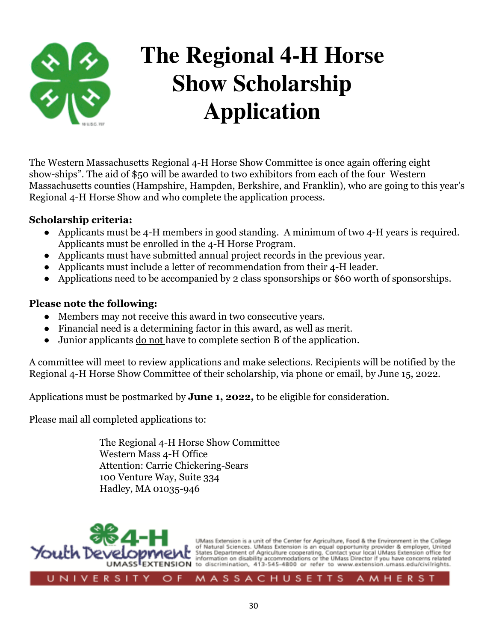

## **The Regional 4-H Horse Show Scholarship Application**

The Western Massachusetts Regional 4-H Horse Show Committee is once again offering eight show-ships". The aid of \$50 will be awarded to two exhibitors from each of the four Western Massachusetts counties (Hampshire, Hampden, Berkshire, and Franklin), who are going to this year's Regional 4-H Horse Show and who complete the application process.

#### **Scholarship criteria:**

- Applicants must be 4-H members in good standing. A minimum of two 4-H years is required. Applicants must be enrolled in the 4-H Horse Program.
- Applicants must have submitted annual project records in the previous year.
- Applicants must include a letter of recommendation from their 4-H leader.
- Applications need to be accompanied by 2 class sponsorships or \$60 worth of sponsorships.

#### **Please note the following:**

- Members may not receive this award in two consecutive years.
- Financial need is a determining factor in this award, as well as merit.
- Junior applicants do not have to complete section B of the application.

A committee will meet to review applications and make selections. Recipients will be notified by the Regional 4-H Horse Show Committee of their scholarship, via phone or email, by June 15, 2022.

Applications must be postmarked by **June 1, 2022,** to be eligible for consideration.

Please mail all completed applications to:

The Regional 4-H Horse Show Committee Western Mass 4-H Office Attention: Carrie Chickering-Sears 100 Venture Way, Suite 334 Hadley, MA 01035-946

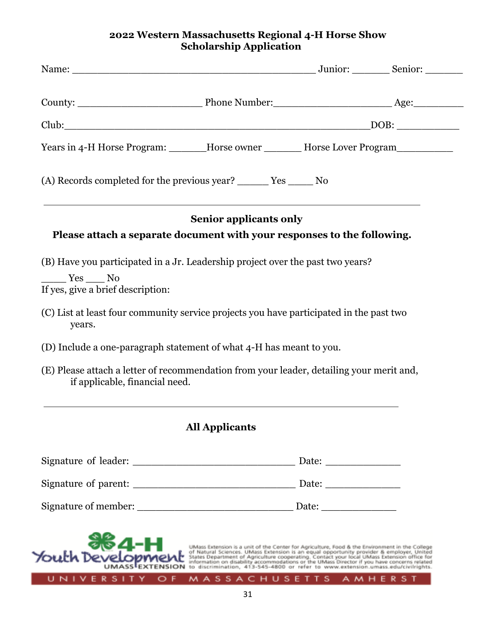#### **2022 Western Massachusetts Regional 4-H Horse Show Scholarship Application**

| Years in 4-H Horse Program: ______Horse owner _______Horse Lover Program________                                           |                                                                                |  |
|----------------------------------------------------------------------------------------------------------------------------|--------------------------------------------------------------------------------|--|
|                                                                                                                            |                                                                                |  |
|                                                                                                                            | <b>Senior applicants only</b>                                                  |  |
| Please attach a separate document with your responses to the following.                                                    |                                                                                |  |
|                                                                                                                            | (B) Have you participated in a Jr. Leadership project over the past two years? |  |
|                                                                                                                            |                                                                                |  |
| $Yes$ No<br>If yes, give a brief description:                                                                              |                                                                                |  |
| (C) List at least four community service projects you have participated in the past two<br>years.                          |                                                                                |  |
| (D) Include a one-paragraph statement of what 4-H has meant to you.                                                        |                                                                                |  |
| (E) Please attach a letter of recommendation from your leader, detailing your merit and,<br>if applicable, financial need. |                                                                                |  |
|                                                                                                                            | <b>All Applicants</b>                                                          |  |
|                                                                                                                            |                                                                                |  |
|                                                                                                                            |                                                                                |  |